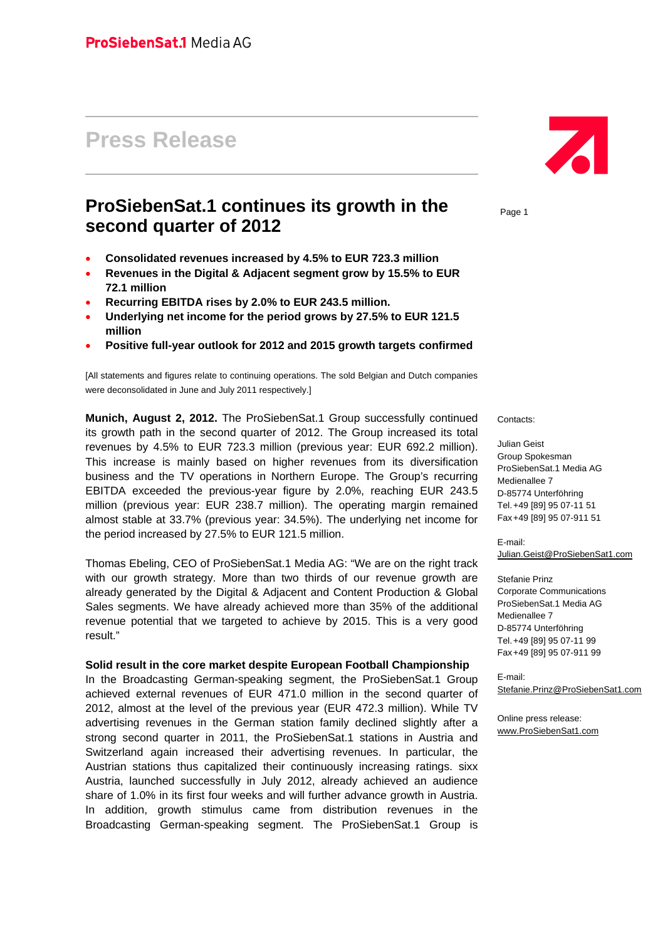# **Press Release**

## **ProSiebenSat.1 continues its growth in the second quarter of 2012**

- **Consolidated revenues increased by 4.5% to EUR 723.3 million**
- **Revenues in the Digital & Adjacent segment grow by 15.5% to EUR 72.1 million**
- **Recurring EBITDA rises by 2.0% to EUR 243.5 million.**
- **Underlying net income for the period grows by 27.5% to EUR 121.5 million**
- **Positive full-year outlook for 2012 and 2015 growth targets confirmed**

[All statements and figures relate to continuing operations. The sold Belgian and Dutch companies were deconsolidated in June and July 2011 respectively.]

**Munich, August 2, 2012.** The ProSiebenSat.1 Group successfully continued its growth path in the second quarter of 2012. The Group increased its total revenues by 4.5% to EUR 723.3 million (previous year: EUR 692.2 million). This increase is mainly based on higher revenues from its diversification business and the TV operations in Northern Europe. The Group's recurring EBITDA exceeded the previous-year figure by 2.0%, reaching EUR 243.5 million (previous year: EUR 238.7 million). The operating margin remained almost stable at 33.7% (previous year: 34.5%). The underlying net income for the period increased by 27.5% to EUR 121.5 million.

Thomas Ebeling, CEO of ProSiebenSat.1 Media AG: "We are on the right track with our growth strategy. More than two thirds of our revenue growth are already generated by the Digital & Adjacent and Content Production & Global Sales segments. We have already achieved more than 35% of the additional revenue potential that we targeted to achieve by 2015. This is a very good result."

#### **Solid result in the core market despite European Football Championship**

In the Broadcasting German-speaking segment, the ProSiebenSat.1 Group achieved external revenues of EUR 471.0 million in the second quarter of 2012, almost at the level of the previous year (EUR 472.3 million). While TV advertising revenues in the German station family declined slightly after a strong second quarter in 2011, the ProSiebenSat.1 stations in Austria and Switzerland again increased their advertising revenues. In particular, the Austrian stations thus capitalized their continuously increasing ratings. sixx Austria, launched successfully in July 2012, already achieved an audience share of 1.0% in its first four weeks and will further advance growth in Austria. In addition, growth stimulus came from distribution revenues in the Broadcasting German-speaking segment. The ProSiebenSat.1 Group is



Page 1

Contacts:

Julian Geist Group Spokesman ProSiebenSat.1 Media AG Medienallee 7 D-85774 Unterföhring Tel. +49 [89] 95 07-11 51 Fax +49 [89] 95 07-911 51

E-mail: Julian.Geist@ProSiebenSat1.com

Stefanie Prinz Corporate Communications ProSiebenSat.1 Media AG Medienallee 7 D-85774 Unterföhring Tel. +49 [89] 95 07-11 99 Fax +49 [89] 95 07-911 99

E-mail: Stefanie.Prinz@ProSiebenSat1.com

Online press release: www.ProSiebenSat1.com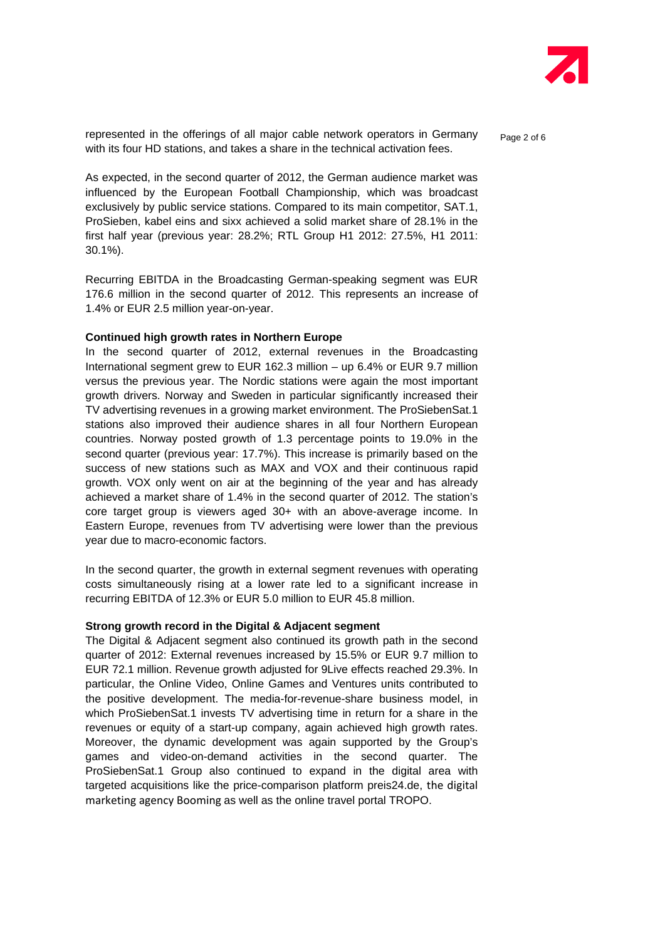

represented in the offerings of all major cable network operators in Germany  $P_{\text{a}ae 2 of 6}$ with its four HD stations, and takes a share in the technical activation fees.

As expected, in the second quarter of 2012, the German audience market was influenced by the European Football Championship, which was broadcast exclusively by public service stations. Compared to its main competitor, SAT.1, ProSieben, kabel eins and sixx achieved a solid market share of 28.1% in the first half year (previous year: 28.2%; RTL Group H1 2012: 27.5%, H1 2011: 30.1%).

Recurring EBITDA in the Broadcasting German-speaking segment was EUR 176.6 million in the second quarter of 2012. This represents an increase of 1.4% or EUR 2.5 million year-on-year.

#### **Continued high growth rates in Northern Europe**

In the second quarter of 2012, external revenues in the Broadcasting International segment grew to EUR 162.3 million – up 6.4% or EUR 9.7 million versus the previous year. The Nordic stations were again the most important growth drivers. Norway and Sweden in particular significantly increased their TV advertising revenues in a growing market environment. The ProSiebenSat.1 stations also improved their audience shares in all four Northern European countries. Norway posted growth of 1.3 percentage points to 19.0% in the second quarter (previous year: 17.7%). This increase is primarily based on the success of new stations such as MAX and VOX and their continuous rapid growth. VOX only went on air at the beginning of the year and has already achieved a market share of 1.4% in the second quarter of 2012. The station's core target group is viewers aged 30+ with an above-average income. In Eastern Europe, revenues from TV advertising were lower than the previous year due to macro-economic factors.

In the second quarter, the growth in external segment revenues with operating costs simultaneously rising at a lower rate led to a significant increase in recurring EBITDA of 12.3% or EUR 5.0 million to EUR 45.8 million.

### **Strong growth record in the Digital & Adjacent segment**

The Digital & Adjacent segment also continued its growth path in the second quarter of 2012: External revenues increased by 15.5% or EUR 9.7 million to EUR 72.1 million. Revenue growth adjusted for 9Live effects reached 29.3%. In particular, the Online Video, Online Games and Ventures units contributed to the positive development. The media-for-revenue-share business model, in which ProSiebenSat.1 invests TV advertising time in return for a share in the revenues or equity of a start-up company, again achieved high growth rates. Moreover, the dynamic development was again supported by the Group's games and video-on-demand activities in the second quarter. The ProSiebenSat.1 Group also continued to expand in the digital area with targeted acquisitions like the price-comparison platform preis24.de, the digital marketing agency Booming as well as the online travel portal TROPO.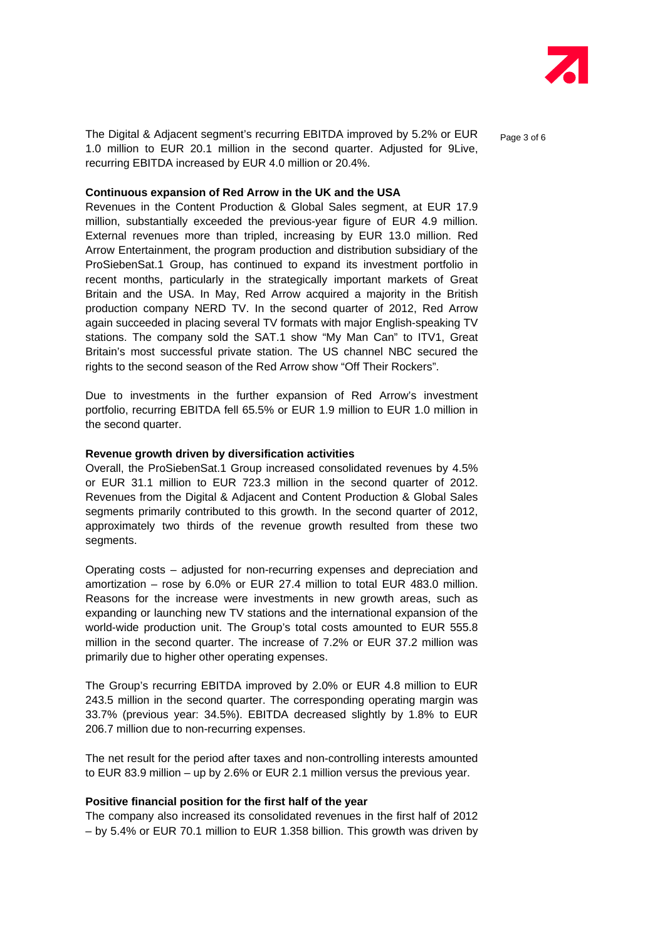

The Digital & Adjacent segment's recurring EBITDA improved by 5.2% or EUR  $_{\text{Page 3 of 6}}$ 1.0 million to EUR 20.1 million in the second quarter. Adjusted for 9Live, recurring EBITDA increased by EUR 4.0 million or 20.4%.

**Continuous expansion of Red Arrow in the UK and the USA** 

Revenues in the Content Production & Global Sales segment, at EUR 17.9 million, substantially exceeded the previous-year figure of EUR 4.9 million. External revenues more than tripled, increasing by EUR 13.0 million. Red Arrow Entertainment, the program production and distribution subsidiary of the ProSiebenSat.1 Group, has continued to expand its investment portfolio in recent months, particularly in the strategically important markets of Great Britain and the USA. In May, Red Arrow acquired a majority in the British production company NERD TV. In the second quarter of 2012, Red Arrow again succeeded in placing several TV formats with major English-speaking TV stations. The company sold the SAT.1 show "My Man Can" to ITV1, Great Britain's most successful private station. The US channel NBC secured the rights to the second season of the Red Arrow show "Off Their Rockers".

Due to investments in the further expansion of Red Arrow's investment portfolio, recurring EBITDA fell 65.5% or EUR 1.9 million to EUR 1.0 million in the second quarter.

#### **Revenue growth driven by diversification activities**

Overall, the ProSiebenSat.1 Group increased consolidated revenues by 4.5% or EUR 31.1 million to EUR 723.3 million in the second quarter of 2012. Revenues from the Digital & Adjacent and Content Production & Global Sales segments primarily contributed to this growth. In the second quarter of 2012, approximately two thirds of the revenue growth resulted from these two segments.

Operating costs – adjusted for non-recurring expenses and depreciation and amortization – rose by 6.0% or EUR 27.4 million to total EUR 483.0 million. Reasons for the increase were investments in new growth areas, such as expanding or launching new TV stations and the international expansion of the world-wide production unit. The Group's total costs amounted to EUR 555.8 million in the second quarter. The increase of 7.2% or EUR 37.2 million was primarily due to higher other operating expenses.

The Group's recurring EBITDA improved by 2.0% or EUR 4.8 million to EUR 243.5 million in the second quarter. The corresponding operating margin was 33.7% (previous year: 34.5%). EBITDA decreased slightly by 1.8% to EUR 206.7 million due to non-recurring expenses.

The net result for the period after taxes and non-controlling interests amounted to EUR 83.9 million – up by 2.6% or EUR 2.1 million versus the previous year.

#### **Positive financial position for the first half of the year**

The company also increased its consolidated revenues in the first half of 2012 – by 5.4% or EUR 70.1 million to EUR 1.358 billion. This growth was driven by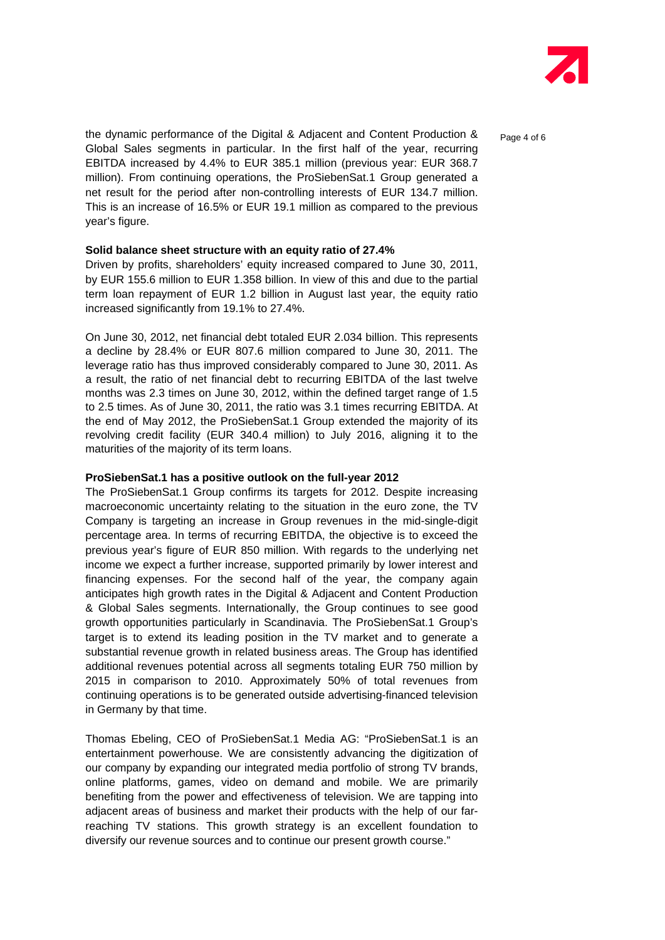

the dynamic performance of the Digital & Adjacent and Content Production &  $_{\text{Paqe 4 of 6}}$ Global Sales segments in particular. In the first half of the year, recurring EBITDA increased by 4.4% to EUR 385.1 million (previous year: EUR 368.7 million). From continuing operations, the ProSiebenSat.1 Group generated a net result for the period after non-controlling interests of EUR 134.7 million. This is an increase of 16.5% or EUR 19.1 million as compared to the previous year's figure.

#### **Solid balance sheet structure with an equity ratio of 27.4%**

Driven by profits, shareholders' equity increased compared to June 30, 2011, by EUR 155.6 million to EUR 1.358 billion. In view of this and due to the partial term loan repayment of EUR 1.2 billion in August last year, the equity ratio increased significantly from 19.1% to 27.4%.

On June 30, 2012, net financial debt totaled EUR 2.034 billion. This represents a decline by 28.4% or EUR 807.6 million compared to June 30, 2011. The leverage ratio has thus improved considerably compared to June 30, 2011. As a result, the ratio of net financial debt to recurring EBITDA of the last twelve months was 2.3 times on June 30, 2012, within the defined target range of 1.5 to 2.5 times. As of June 30, 2011, the ratio was 3.1 times recurring EBITDA. At the end of May 2012, the ProSiebenSat.1 Group extended the majority of its revolving credit facility (EUR 340.4 million) to July 2016, aligning it to the maturities of the majority of its term loans.

#### **ProSiebenSat.1 has a positive outlook on the full-year 2012**

The ProSiebenSat.1 Group confirms its targets for 2012. Despite increasing macroeconomic uncertainty relating to the situation in the euro zone, the TV Company is targeting an increase in Group revenues in the mid-single-digit percentage area. In terms of recurring EBITDA, the objective is to exceed the previous year's figure of EUR 850 million. With regards to the underlying net income we expect a further increase, supported primarily by lower interest and financing expenses. For the second half of the year, the company again anticipates high growth rates in the Digital & Adjacent and Content Production & Global Sales segments. Internationally, the Group continues to see good growth opportunities particularly in Scandinavia. The ProSiebenSat.1 Group's target is to extend its leading position in the TV market and to generate a substantial revenue growth in related business areas. The Group has identified additional revenues potential across all segments totaling EUR 750 million by 2015 in comparison to 2010. Approximately 50% of total revenues from continuing operations is to be generated outside advertising-financed television in Germany by that time.

Thomas Ebeling, CEO of ProSiebenSat.1 Media AG: "ProSiebenSat.1 is an entertainment powerhouse. We are consistently advancing the digitization of our company by expanding our integrated media portfolio of strong TV brands, online platforms, games, video on demand and mobile. We are primarily benefiting from the power and effectiveness of television. We are tapping into adjacent areas of business and market their products with the help of our farreaching TV stations. This growth strategy is an excellent foundation to diversify our revenue sources and to continue our present growth course."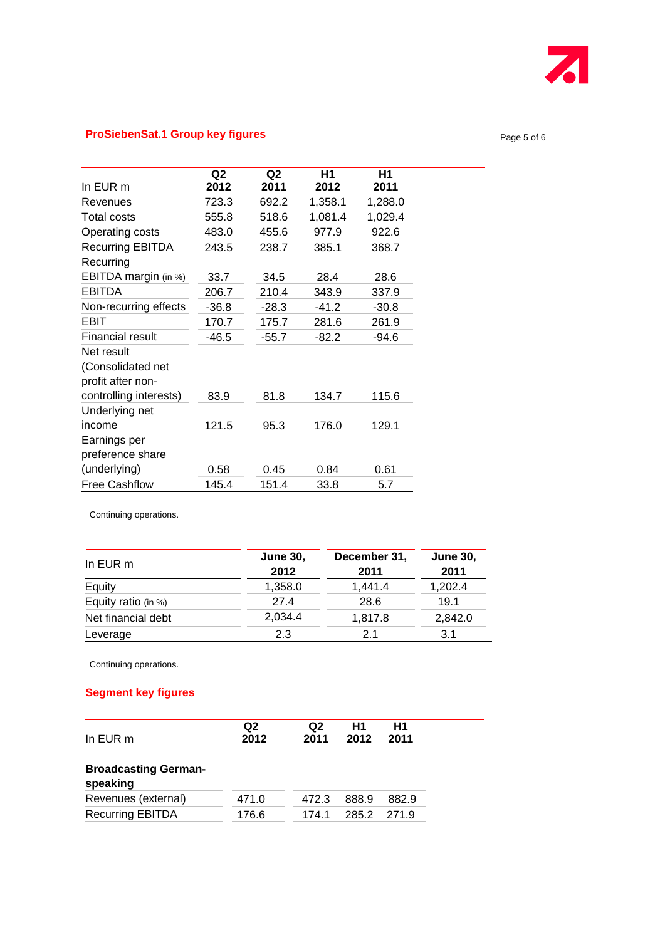

## **ProSiebenSat.1 Group key figures**

|                         | Q <sub>2</sub> | Q2      | H1      | Η1      |
|-------------------------|----------------|---------|---------|---------|
| In EUR m                | 2012           | 2011    | 2012    | 2011    |
| Revenues                | 723.3          | 692.2   | 1,358.1 | 1,288.0 |
| <b>Total costs</b>      | 555.8          | 518.6   | 1,081.4 | 1,029.4 |
| Operating costs         | 483.0          | 455.6   | 977.9   | 922.6   |
| Recurring EBITDA        | 243.5          | 238.7   | 385.1   | 368.7   |
| Recurring               |                |         |         |         |
| EBITDA margin (in %)    | 33.7           | 34.5    | 28.4    | 28.6    |
| EBITDA                  | 206.7          | 210.4   | 343.9   | 337.9   |
| Non-recurring effects   | $-36.8$        | $-28.3$ | $-41.2$ | $-30.8$ |
| EBIT                    | 170.7          | 175.7   | 281.6   | 261.9   |
| <b>Financial result</b> | $-46.5$        | $-55.7$ | $-82.2$ | $-94.6$ |
| Net result              |                |         |         |         |
| (Consolidated net       |                |         |         |         |
| profit after non-       |                |         |         |         |
| controlling interests)  | 83.9           | 81.8    | 134.7   | 115.6   |
| Underlying net          |                |         |         |         |
| income                  | 121.5          | 95.3    | 176.0   | 129.1   |
| Earnings per            |                |         |         |         |
| preference share        |                |         |         |         |
| (underlying)            | 0.58           | 0.45    | 0.84    | 0.61    |
| <b>Free Cashflow</b>    | 145.4          | 151.4   | 33.8    | 5.7     |

Continuing operations.

| In EUR m            | <b>June 30,</b><br>2012 | December 31,<br>2011 | <b>June 30.</b><br>2011 |
|---------------------|-------------------------|----------------------|-------------------------|
| Equity              | 1,358.0                 | 1,441.4              | 1,202.4                 |
| Equity ratio (in %) | 27.4                    | 28.6                 | 19.1                    |
| Net financial debt  | 2,034.4                 | 1,817.8              | 2,842.0                 |
| Leverage            | 2.3                     | 2.1                  | 3.1                     |

Continuing operations.

## **Segment key figures**

| In EUR m                                | Q2<br>2012 | Q2<br>2011 | H1<br>2012 | Η1<br>2011 |
|-----------------------------------------|------------|------------|------------|------------|
| <b>Broadcasting German-</b><br>speaking |            |            |            |            |
| Revenues (external)                     | 471.0      | 472.3      | 888.9      | 882.9      |
|                                         |            |            |            |            |